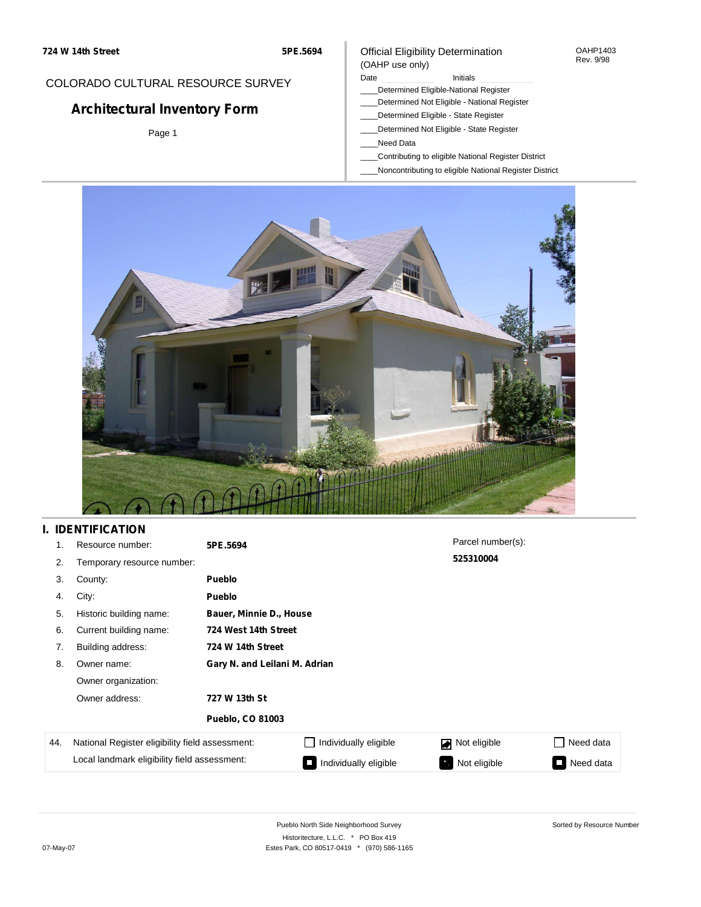## COLORADO CULTURAL RESOURCE SURVEY

# **Architectural Inventory Form**

Page 1

#### Official Eligibility Determination (OAHP use only)

#### Date **Initials** Initials

- \_\_\_\_Determined Eligible-National Register
- \_\_\_\_Determined Not Eligible National Register
- \_\_\_\_Determined Eligible State Register
- \_\_\_\_Determined Not Eligible State Register
- \_\_\_\_Need Data
- \_\_\_\_Contributing to eligible National Register District
- \_\_\_\_Noncontributing to eligible National Register District



## **I. IDENTIFICATION**

| 1.  | Resource number:                                | 5PE.5694                      |                       | Parcel number(s): |                     |  |  |  |
|-----|-------------------------------------------------|-------------------------------|-----------------------|-------------------|---------------------|--|--|--|
| 2.  | Temporary resource number:                      |                               |                       | 525310004         |                     |  |  |  |
| 3.  | County:                                         | <b>Pueblo</b>                 |                       |                   |                     |  |  |  |
| 4.  | City:                                           | <b>Pueblo</b>                 |                       |                   |                     |  |  |  |
| 5.  | Historic building name:                         | Bauer, Minnie D., House       |                       |                   |                     |  |  |  |
| 6.  | Current building name:                          |                               | 724 West 14th Street  |                   |                     |  |  |  |
| 7.  | Building address:                               | 724 W 14th Street             |                       |                   |                     |  |  |  |
| 8.  | Owner name:                                     | Gary N. and Leilani M. Adrian |                       |                   |                     |  |  |  |
|     | Owner organization:                             |                               |                       |                   |                     |  |  |  |
|     | Owner address:                                  | 727 W 13th St                 |                       |                   |                     |  |  |  |
|     |                                                 | <b>Pueblo, CO 81003</b>       |                       |                   |                     |  |  |  |
| 44. | National Register eligibility field assessment: |                               | Individually eligible | Not eligible      | Need data           |  |  |  |
|     | Local landmark eligibility field assessment:    |                               | Individually eligible | Not eligible      | Need data<br>$\Box$ |  |  |  |

OAHP1403 Rev. 9/98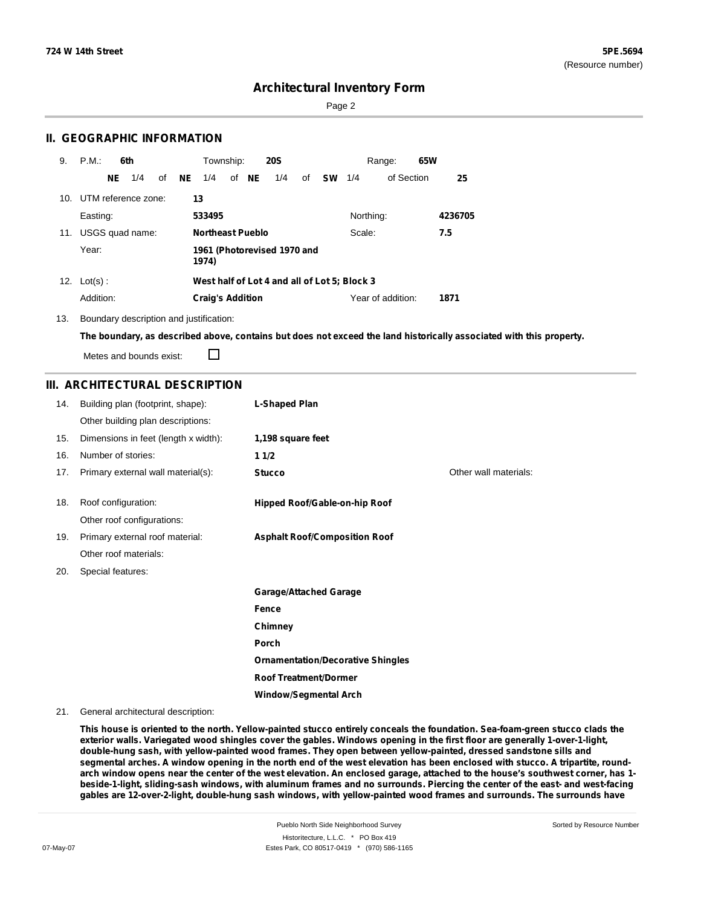Sorted by Resource Number

## **Architectural Inventory Form**

Page 2

## **II. GEOGRAPHIC INFORMATION**

| 9.              | P.M.                | 6th |                 |    |    | Township:               |       | <b>20S</b>                  |    |           |                                              | Range:            | 65W |         |
|-----------------|---------------------|-----|-----------------|----|----|-------------------------|-------|-----------------------------|----|-----------|----------------------------------------------|-------------------|-----|---------|
|                 |                     | NE. | 1/4             | of | NE | 1/4                     | of NE | 1/4                         | of | <b>SW</b> | 1/4                                          | of Section        |     | 25      |
| 10 <sub>1</sub> | UTM reference zone: |     |                 |    | 13 |                         |       |                             |    |           |                                              |                   |     |         |
|                 | Easting:            |     |                 |    |    | 533495                  |       |                             |    |           | Northing:                                    |                   |     | 4236705 |
| 11.             |                     |     | USGS quad name: |    |    | <b>Northeast Pueblo</b> |       |                             |    |           | Scale:                                       |                   |     | 7.5     |
|                 | Year:               |     |                 |    |    | 1974)                   |       | 1961 (Photorevised 1970 and |    |           |                                              |                   |     |         |
|                 | 12. $Lot(s)$ :      |     |                 |    |    |                         |       |                             |    |           | West half of Lot 4 and all of Lot 5; Block 3 |                   |     |         |
|                 | Addition:           |     |                 |    |    | <b>Craig's Addition</b> |       |                             |    |           |                                              | Year of addition: |     | 1871    |

13. Boundary description and justification:

The boundary, as described above, contains but does not exceed the land historically associated with this property.

Metes and bounds exist:

 $\Box$ 

## **III. ARCHITECTURAL DESCRIPTION**

| 14. | Building plan (footprint, shape):    | <b>L-Shaped Plan</b>                     |                       |
|-----|--------------------------------------|------------------------------------------|-----------------------|
|     | Other building plan descriptions:    |                                          |                       |
| 15. | Dimensions in feet (length x width): | 1,198 square feet                        |                       |
| 16. | Number of stories:                   | 11/2                                     |                       |
| 17. | Primary external wall material(s):   | <b>Stucco</b>                            | Other wall materials: |
|     |                                      |                                          |                       |
| 18. | Roof configuration:                  | Hipped Roof/Gable-on-hip Roof            |                       |
|     | Other roof configurations:           |                                          |                       |
| 19. | Primary external roof material:      | <b>Asphalt Roof/Composition Roof</b>     |                       |
|     | Other roof materials:                |                                          |                       |
| 20. | Special features:                    |                                          |                       |
|     |                                      | <b>Garage/Attached Garage</b>            |                       |
|     |                                      | <b>Fence</b>                             |                       |
|     |                                      | Chimney                                  |                       |
|     |                                      | Porch                                    |                       |
|     |                                      | <b>Ornamentation/Decorative Shingles</b> |                       |
|     |                                      | <b>Roof Treatment/Dormer</b>             |                       |
|     |                                      | <b>Window/Segmental Arch</b>             |                       |

#### 21. General architectural description:

This house is oriented to the north. Yellow-painted stucco entirely conceals the foundation. Sea-foam-green stucco clads the exterior walls. Variegated wood shingles cover the gables. Windows opening in the first floor are generally 1-over-1-light, **double-hung sash, with yellow-painted wood frames. They open between yellow-painted, dressed sandstone sills and** segmental arches. A window opening in the north end of the west elevation has been enclosed with stucco. A tripartite, roundarch window opens near the center of the west elevation. An enclosed garage, attached to the house's southwest corner, has 1beside-1-light, sliding-sash windows, with aluminum frames and no surrounds. Piercing the center of the east- and west-facing **gables are 12-over-2-light, double-hung sash windows, with yellow-painted wood frames and surrounds. The surrounds have**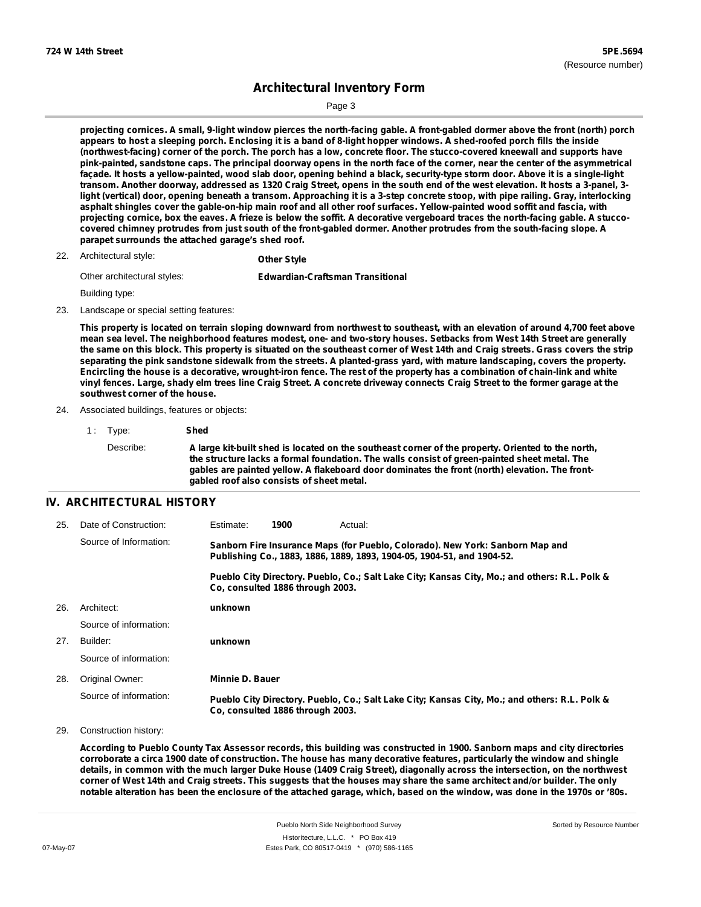Sorted by Resource Number

## **Architectural Inventory Form**

Page 3

projecting cornices. A small, 9-light window pierces the north-facing gable. A front-gabled dormer above the front (north) porch appears to host a sleeping porch. Enclosing it is a band of 8-light hopper windows. A shed-roofed porch fills the inside (northwest-facing) corner of the porch. The porch has a low, concrete floor. The stucco-covered kneewall and supports have pink-painted, sandstone caps. The principal doorway opens in the north face of the corner, near the center of the asymmetrical façade. It hosts a yellow-painted, wood slab door, opening behind a black, security-type storm door. Above it is a single-light transom. Another doorway, addressed as 1320 Craig Street, opens in the south end of the west elevation. It hosts a 3-panel, 3light (vertical) door, opening beneath a transom. Approaching it is a 3-step concrete stoop, with pipe railing. Gray, interlocking asphalt shingles cover the gable-on-hip main roof and all other roof surfaces. Yellow-painted wood soffit and fascia, with projecting cornice, box the eaves. A frieze is below the soffit. A decorative vergeboard traces the north-facing gable. A stuccocovered chimney protrudes from just south of the front-gabled dormer. Another protrudes from the south-facing slope. A **parapet surrounds the attached garage's shed roof.**

Architectural style: 22. **Other Style**

| Other architectural styles: | <b>Edwardian-Craftsman Transitional</b> |
|-----------------------------|-----------------------------------------|
|                             |                                         |

Building type:

23. Landscape or special setting features:

This property is located on terrain sloping downward from northwest to southeast, with an elevation of around 4,700 feet above mean sea level. The neighborhood features modest, one- and two-story houses. Setbacks from West 14th Street are generally the same on this block. This property is situated on the southeast corner of West 14th and Craig streets. Grass covers the strip separating the pink sandstone sidewalk from the streets. A planted-grass yard, with mature landscaping, covers the property. Encircling the house is a decorative, wrought-iron fence. The rest of the property has a combination of chain-link and white vinyl fences. Large, shady elm trees line Craig Street. A concrete driveway connects Craig Street to the former garage at the **southwest corner of the house.**

- 24. Associated buildings, features or objects:
	- 1 : Type: **Shed** Describe: A large kit-built shed is located on the southeast corner of the property. Oriented to the north, **the structure lacks a formal foundation. The walls consist of green-painted sheet metal. The gables are painted yellow. A flakeboard door dominates the front (north) elevation. The frontgabled roof also consists of sheet metal.**

#### **IV. ARCHITECTURAL HISTORY**

| 25. | Date of Construction:  | Estimate:       | 1900                             | Actual:                                                                                                                                                 |
|-----|------------------------|-----------------|----------------------------------|---------------------------------------------------------------------------------------------------------------------------------------------------------|
|     | Source of Information: |                 |                                  | Sanborn Fire Insurance Maps (for Pueblo, Colorado). New York: Sanborn Map and<br>Publishing Co., 1883, 1886, 1889, 1893, 1904-05, 1904-51, and 1904-52. |
|     |                        |                 | Co. consulted 1886 through 2003. | Pueblo City Directory. Pueblo, Co.; Salt Lake City; Kansas City, Mo.; and others: R.L. Polk &                                                           |
| 26. | Architect:             | unknown         |                                  |                                                                                                                                                         |
|     | Source of information: |                 |                                  |                                                                                                                                                         |
| 27. | Builder:               | unknown         |                                  |                                                                                                                                                         |
|     | Source of information: |                 |                                  |                                                                                                                                                         |
| 28. | Original Owner:        | Minnie D. Bauer |                                  |                                                                                                                                                         |
|     | Source of information: |                 | Co. consulted 1886 through 2003. | Pueblo City Directory. Pueblo, Co.; Salt Lake City; Kansas City, Mo.; and others: R.L. Polk &                                                           |

29. Construction history:

According to Pueblo County Tax Assessor records, this building was constructed in 1900. Sanborn maps and city directories corroborate a circa 1900 date of construction. The house has many decorative features, particularly the window and shingle details, in common with the much larger Duke House (1409 Craig Street), diagonally across the intersection, on the northwest corner of West 14th and Craig streets. This suggests that the houses may share the same architect and/or builder. The only notable alteration has been the enclosure of the attached garage, which, based on the window, was done in the 1970s or '80s.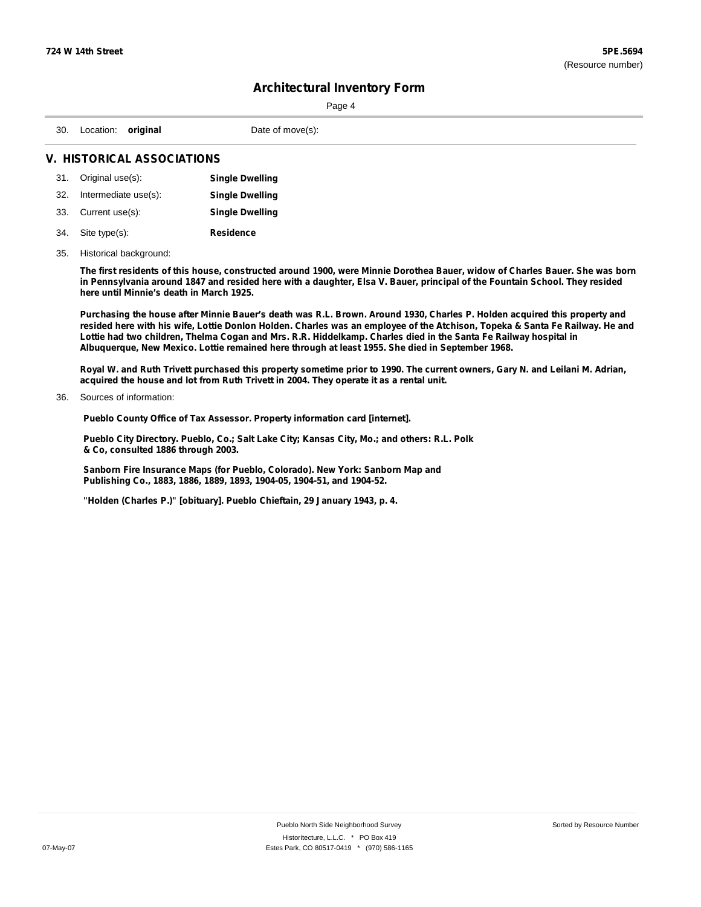|                                |  | Page 4           |  |  |  |
|--------------------------------|--|------------------|--|--|--|
| 30. Location: original         |  | Date of move(s): |  |  |  |
| <b>INCTODICAL ACCOCIATIONS</b> |  |                  |  |  |  |

### **V. HISTORICAL ASSOCIATIONS**

|     | 31. Original use(s): | <b>Single Dwelling</b> |
|-----|----------------------|------------------------|
| 32. | Intermediate use(s): | <b>Single Dwelling</b> |
|     | 33. Current use(s):  | <b>Single Dwelling</b> |
| 34. | Site type(s):        | <b>Residence</b>       |

# 35. Historical background:

The first residents of this house, constructed around 1900, were Minnie Dorothea Bauer, widow of Charles Bauer. She was born in Pennsylvania around 1847 and resided here with a daughter, Elsa V. Bauer, principal of the Fountain School. They resided **here until Minnie's death in March 1925.**

Purchasing the house after Minnie Bauer's death was R.L. Brown. Around 1930, Charles P. Holden acquired this property and resided here with his wife, Lottie Donlon Holden. Charles was an employee of the Atchison, Topeka & Santa Fe Railway. He and Lottie had two children, Thelma Cogan and Mrs. R.R. Hiddelkamp. Charles died in the Santa Fe Railway hospital in **Albuquerque, New Mexico. Lottie remained here through at least 1955. She died in September 1968.**

Royal W. and Ruth Trivett purchased this property sometime prior to 1990. The current owners, Gary N. and Leilani M. Adrian, **acquired the house and lot from Ruth Trivett in 2004. They operate it as a rental unit.**

#### Sources of information: 36.

**Pueblo County Office of Tax Assessor. Property information card [internet].**

**Pueblo City Directory. Pueblo, Co.; Salt Lake City; Kansas City, Mo.; and others: R.L. Polk & Co, consulted 1886 through 2003.**

**Sanborn Fire Insurance Maps (for Pueblo, Colorado). New York: Sanborn Map and Publishing Co., 1883, 1886, 1889, 1893, 1904-05, 1904-51, and 1904-52.**

**"Holden (Charles P.)" [obituary]. Pueblo Chieftain, 29 January 1943, p. 4.**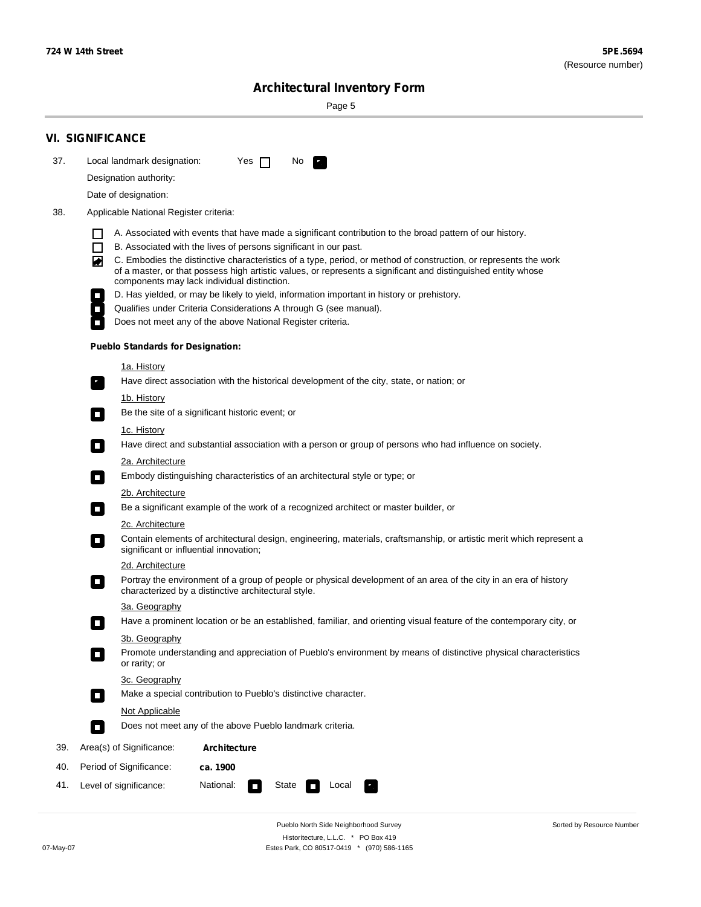۰

Sorted by Resource Number

# **Architectural Inventory Form**

Page 5

|     | <b>VI. SIGNIFICANCE</b>                                                                                                                                                                                                                                                               |  |  |  |  |  |
|-----|---------------------------------------------------------------------------------------------------------------------------------------------------------------------------------------------------------------------------------------------------------------------------------------|--|--|--|--|--|
| 37. | Local landmark designation:<br>Yes $\Box$<br>No.                                                                                                                                                                                                                                      |  |  |  |  |  |
|     | Designation authority:                                                                                                                                                                                                                                                                |  |  |  |  |  |
|     | Date of designation:                                                                                                                                                                                                                                                                  |  |  |  |  |  |
| 38. | Applicable National Register criteria:                                                                                                                                                                                                                                                |  |  |  |  |  |
|     | A. Associated with events that have made a significant contribution to the broad pattern of our history.<br>1 I<br>$\Box$<br>B. Associated with the lives of persons significant in our past.                                                                                         |  |  |  |  |  |
|     | C. Embodies the distinctive characteristics of a type, period, or method of construction, or represents the work<br>◙<br>of a master, or that possess high artistic values, or represents a significant and distinguished entity whose<br>components may lack individual distinction. |  |  |  |  |  |
|     | D. Has yielded, or may be likely to yield, information important in history or prehistory.                                                                                                                                                                                            |  |  |  |  |  |
|     | Qualifies under Criteria Considerations A through G (see manual).                                                                                                                                                                                                                     |  |  |  |  |  |
|     | Does not meet any of the above National Register criteria.                                                                                                                                                                                                                            |  |  |  |  |  |
|     | <b>Pueblo Standards for Designation:</b>                                                                                                                                                                                                                                              |  |  |  |  |  |
|     | <u>1a. History</u>                                                                                                                                                                                                                                                                    |  |  |  |  |  |
|     | Have direct association with the historical development of the city, state, or nation; or                                                                                                                                                                                             |  |  |  |  |  |
|     | 1b. History<br>Be the site of a significant historic event; or<br>$\mathcal{L}_{\mathcal{A}}$                                                                                                                                                                                         |  |  |  |  |  |
|     | <u>1c. History</u><br>Have direct and substantial association with a person or group of persons who had influence on society.<br>$\blacksquare$                                                                                                                                       |  |  |  |  |  |
|     | 2a. Architecture                                                                                                                                                                                                                                                                      |  |  |  |  |  |
|     | Embody distinguishing characteristics of an architectural style or type; or<br>$\overline{\phantom{a}}$                                                                                                                                                                               |  |  |  |  |  |
|     | <u>2b. Architecture</u>                                                                                                                                                                                                                                                               |  |  |  |  |  |
|     | Be a significant example of the work of a recognized architect or master builder, or<br>$\overline{\phantom{a}}$                                                                                                                                                                      |  |  |  |  |  |
|     | <b>2c. Architecture</b>                                                                                                                                                                                                                                                               |  |  |  |  |  |
|     | Contain elements of architectural design, engineering, materials, craftsmanship, or artistic merit which represent a<br>О<br>significant or influential innovation;                                                                                                                   |  |  |  |  |  |
|     | 2d. Architecture                                                                                                                                                                                                                                                                      |  |  |  |  |  |
|     | Portray the environment of a group of people or physical development of an area of the city in an era of history<br>$\Box$<br>characterized by a distinctive architectural style.                                                                                                     |  |  |  |  |  |
|     | 3a. Geography                                                                                                                                                                                                                                                                         |  |  |  |  |  |
|     | Have a prominent location or be an established, familiar, and orienting visual feature of the contemporary city, or<br>П                                                                                                                                                              |  |  |  |  |  |
|     | 3b. Geography<br>Promote understanding and appreciation of Pueblo's environment by means of distinctive physical characteristics                                                                                                                                                      |  |  |  |  |  |
|     | or rarity; or                                                                                                                                                                                                                                                                         |  |  |  |  |  |
|     | 3c. Geography                                                                                                                                                                                                                                                                         |  |  |  |  |  |
|     | Make a special contribution to Pueblo's distinctive character.<br>$\overline{\phantom{a}}$                                                                                                                                                                                            |  |  |  |  |  |
|     | <b>Not Applicable</b>                                                                                                                                                                                                                                                                 |  |  |  |  |  |
|     | Does not meet any of the above Pueblo landmark criteria.<br>$\sim$                                                                                                                                                                                                                    |  |  |  |  |  |
| 39. | Area(s) of Significance:<br><b>Architecture</b>                                                                                                                                                                                                                                       |  |  |  |  |  |
| 40. | Period of Significance:<br>ca. 1900                                                                                                                                                                                                                                                   |  |  |  |  |  |
| 41. | National:<br>Level of significance:<br>State<br>Local                                                                                                                                                                                                                                 |  |  |  |  |  |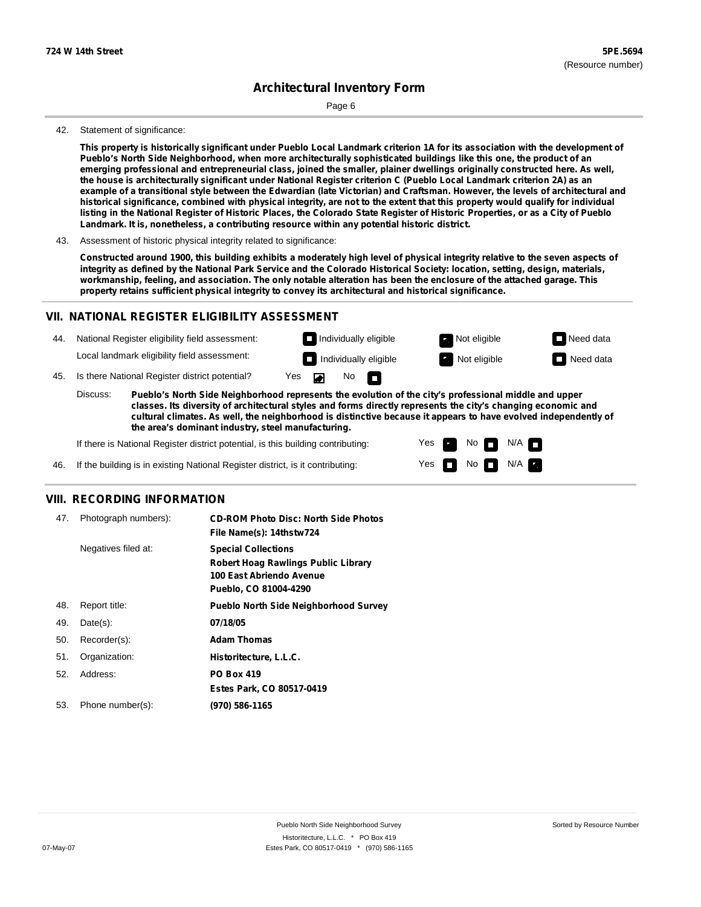Page 6

#### 42. Statement of significance:

This property is historically significant under Pueblo Local Landmark criterion 1A for its association with the development of Pueblo's North Side Neighborhood, when more architecturally sophisticated buildings like this one, the product of an emerging professional and entrepreneurial class, joined the smaller, plainer dwellings originally constructed here. As well, the house is architecturally significant under National Register criterion C (Pueblo Local Landmark criterion 2A) as an example of a transitional style between the Edwardian (late Victorian) and Craftsman. However, the levels of architectural and historical significance, combined with physical integrity, are not to the extent that this property would qualify for individual listing in the National Register of Historic Places, the Colorado State Register of Historic Properties, or as a City of Pueblo **Landmark. It is, nonetheless, a contributing resource within any potential historic district.**

Constructed around 1900, this building exhibits a moderately high level of physical integrity relative to the seven aspects of integrity as defined by the National Park Service and the Colorado Historical Society: location, setting, design, materials, workmanship, feeling, and association. The only notable alteration has been the enclosure of the attached garage. This **property retains sufficient physical integrity to convey its architectural and historical significance.**

#### **VII. NATIONAL REGISTER ELIGIBILITY ASSESSMENT**

44. National Register eligibility field assessment: Local landmark eligibility field assessment:

No<sub>D</sub> **Individually eligible Not eligible** Not eligible **Need data Individually eligible Not eligible Not eligible Need data** 

N/A

45. Is there National Register district potential? Yes

**Pueblo's North Side Neighborhood represents the evolution of the city's professional middle and upper classes. Its diversity of architectural styles and forms directly represents the city's changing economic and cultural climates. As well, the neighborhood is distinctive because it appears to have evolved independently of the area's dominant industry, steel manufacturing.** Discuss:

 $\blacksquare$ 

Yes Yes No

 $No$   $N/A$ 

If there is National Register district potential, is this building contributing:



#### **VIII. RECORDING INFORMATION**

| 47. | Photograph numbers): | <b>CD-ROM Photo Disc: North Side Photos</b><br>File Name(s): 14thstw724                                                       |
|-----|----------------------|-------------------------------------------------------------------------------------------------------------------------------|
|     | Negatives filed at:  | <b>Special Collections</b><br><b>Robert Hoag Rawlings Public Library</b><br>100 East Abriendo Avenue<br>Pueblo, CO 81004-4290 |
| 48. | Report title:        | <b>Pueblo North Side Neighborhood Survey</b>                                                                                  |
| 49. | $Date(s)$ :          | 07/18/05                                                                                                                      |
| 50. | Recorder(s):         | <b>Adam Thomas</b>                                                                                                            |
| 51. | Organization:        | Historitecture, L.L.C.                                                                                                        |
| 52. | Address:             | <b>PO Box 419</b>                                                                                                             |
|     |                      | Estes Park, CO 80517-0419                                                                                                     |
| 53. | Phone number(s):     | (970) 586-1165                                                                                                                |

<sup>43.</sup> Assessment of historic physical integrity related to significance: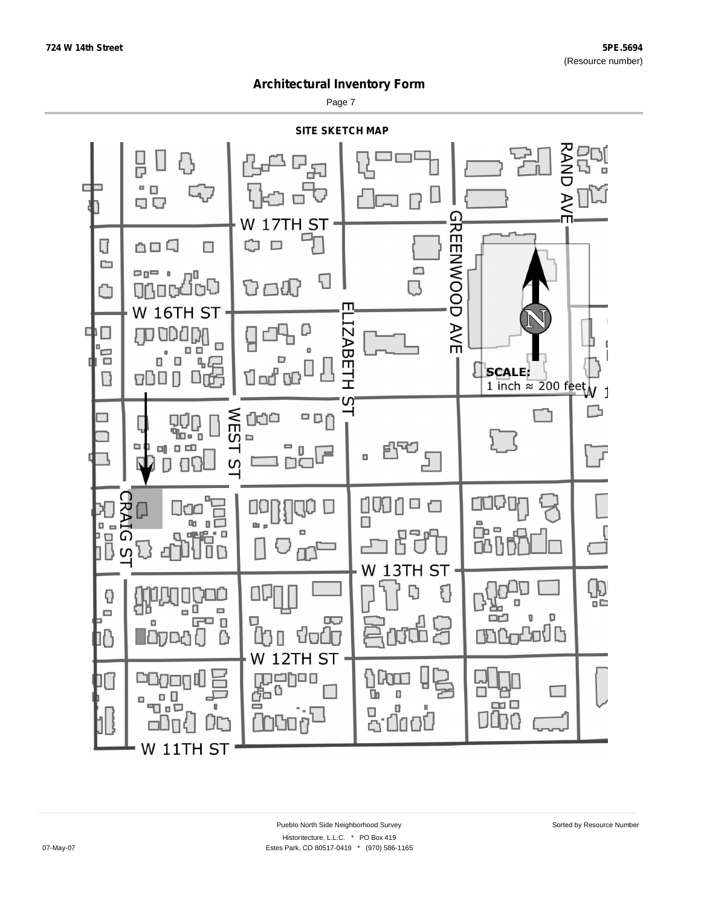Page 7